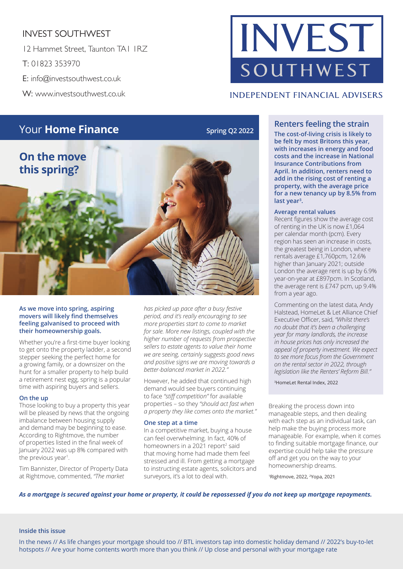### INVEST SOUTHWEST

12 Hammet Street, Taunton TA1 1RZ T: 01823 353970 E: info@investsouthwest.co.uk W: www.investsouthwest.co.uk

# INVEST SOUTHWEST

#### **INDEPENDENT FINANCIAL ADVISERS**



#### **As we move into spring, aspiring movers will likely find themselves feeling galvanised to proceed with their homeownership goals.**

Whether you're a first-time buyer looking to get onto the property ladder, a second stepper seeking the perfect home for a growing family, or a downsizer on the hunt for a smaller property to help build a retirement nest egg, spring is a popular time with aspiring buyers and sellers.

#### **On the up**

Those looking to buy a property this year will be pleased by news that the ongoing imbalance between housing supply and demand may be beginning to ease. According to Rightmove, the number of properties listed in the final week of January 2022 was up 8% compared with the previous year<sup>1</sup>.

Tim Bannister, Director of Property Data at Rightmove, commented, *"The market* 

*has picked up pace after a busy festive period, and it's really encouraging to see more properties start to come to market for sale. More new listings, coupled with the higher number of requests from prospective sellers to estate agents to value their home we are seeing, certainly suggests good news and positive signs we are moving towards a better-balanced market in 2022."* 

However, he added that continued high demand would see buyers continuing to face *"stiff competition"* for available properties – so they *"should act fast when a property they like comes onto the market."*

#### **One step at a time**

In a competitive market, buying a house can feel overwhelming. In fact, 40% of homeowners in a 2021 report<sup>2</sup> said that moving home had made them feel stressed and ill. From getting a mortgage to instructing estate agents, solicitors and surveyors, it's a lot to deal with.

### **Your Home Finance Spring Q2 2022 Renters feeling the strain**<br>The cost of living crisis is likely to

**The cost-of-living crisis is likely to be felt by most Britons this year, with increases in energy and food costs and the increase in National Insurance Contributions from April. In addition, renters need to add in the rising cost of renting a property, with the average price for a new tenancy up by 8.5% from last year3 .**

#### **Average rental values**

Recent figures show the average cost of renting in the UK is now £1,064 per calendar month (pcm). Every region has seen an increase in costs, the greatest being in London, where rentals average £1,760pcm, 12.6% higher than January 2021; outside London the average rent is up by 6.9% year-on-year at £897pcm. In Scotland, the average rent is £747 pcm, up 9.4% from a year ago.

Commenting on the latest data, Andy Halstead, HomeLet & Let Alliance Chief Executive Officer, said, *"Whilst there's no doubt that it's been a challenging year for many landlords, the increase in house prices has only increased the appeal of property investment. We expect to see more focus from the Government on the rental sector in 2022, through legislation like the Renters' Reform Bill."*

3HomeLet Rental Index, 2022

Breaking the process down into manageable steps, and then dealing with each step as an individual task, can help make the buying process more manageable. For example, when it comes to finding suitable mortgage finance, our expertise could help take the pressure off and get you on the way to your homeownership dreams.

1Rightmove, 2022, 2Yopa, 2021

*As a mortgage is secured against your home or property, it could be repossessed if you do not keep up mortgage repayments.*

#### **Inside this issue**

In the news // As life changes your mortgage should too // BTL investors tap into domestic holiday demand // 2022's buy-to-let hotspots // Are your home contents worth more than you think // Up close and personal with your mortgage rate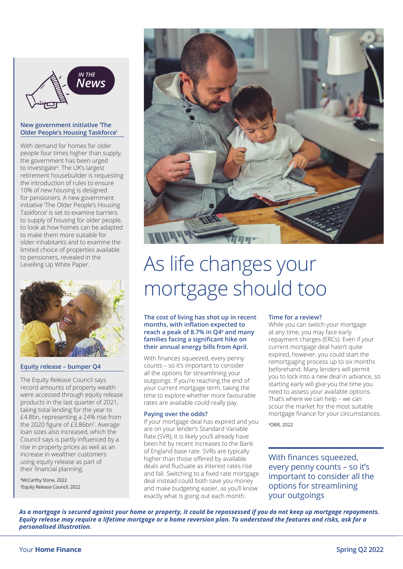

#### **New government initiative 'The Older People's Housing Taskforce'**

With demand for homes for older people four times higher than supply, the government has been urged to investigate4 . The UK's largest retirement housebuilder is requesting the introduction of rules to ensure 10% of new housing is designed for pensioners. A new government initiative The Older People's Housing Taskforce' is set to examine barriers to supply of housing for older people, to look at how homes can be adapted to make them more suitable for older inhabitants and to examine the limited choice of properties available to pensioners, revealed in the Levelling Up White Paper.



#### **Equity release – bumper Q4**

The Equity Release Council says record amounts of property wealth were accessed through equity release products in the last quarter of 2021, taking total lending for the year to £4.8bn, representing a 24% rise from the 2020 figure of £3.86bn<sup>5</sup>. Average loan sizes also increased, which the Council says is partly influenced by a rise in property prices as well as an increase in wealthier customers using equity release as part of their financial planning.

4 McCarthy Stone, 2022 5 Equity Release Council, 2022



## As life changes your mortgage should too

**The cost of living has shot up in recent**  months, with inflation expected to **reach a peak of 8.7% in Q4<sup>6</sup> and many**  families facing a significant hike on **their annual energy bills from April.** 

With finances squeezed, every penny counts – so it's important to consider all the options for streamlining your outgoings. If you're reaching the end of your current mortgage term, taking the time to explore whether more favourable rates are available could really pay.

#### **Paying over the odds?**

If your mortgage deal has expired and you are on your lender's Standard Variable Rate (SVR), it is likely you'll already have been hit by recent increases to the Bank of England base rate. SVRs are typically higher than those offered by available deals and fluctuate as interest rates rise and fall. Switching to a fixed rate mortgage deal instead could both save you money and make budgeting easier, as you'll know exactly what is going out each month.

#### **Time for a review?**

While you can switch your mortgage at any time, you may face early repayment charges (ERCs). Even if your current mortgage deal hasn't quite expired, however, you could start the remortgaging process up to six months beforehand. Many lenders will permit you to lock into a new deal in advance, so starting early will give you the time you need to assess your available options. That's where we can help – we can scour the market for the most suitable mortgage finance for your circumstances.

6OBR, 2022

With finances squeezed, every penny counts – so it's important to consider all the options for streamlining your outgoings

*As a mortgage is secured against your home or property, it could be repossessed if you do not keep up mortgage repayments. Equity release may require a lifetime mortgage or a home reversion plan. To understand the features and risks, ask for a personalised illustration.*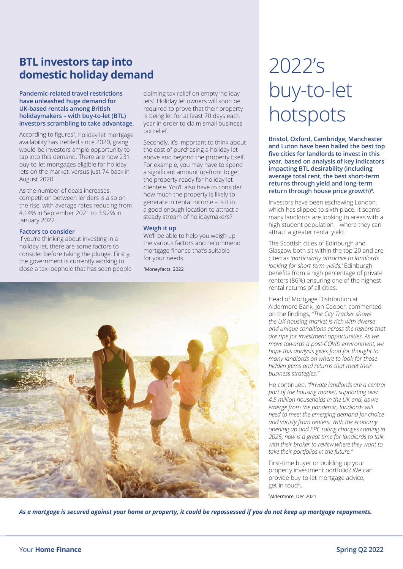### **BTL investors tap into domestic holiday demand**

#### **Pandemic-related travel restrictions have unleashed huge demand for UK-based rentals among British holidaymakers – with buy-to-let (BTL) investors scrambling to take advantage.**

According to figures<sup>7</sup>, holiday let mortgage availability has trebled since 2020, giving would-be investors ample opportunity to tap into this demand. There are now 231 buy-to-let mortgages eligible for holiday lets on the market, versus just 74 back in August 2020.

As the number of deals increases, competition between lenders is also on the rise, with average rates reducing from 4.14% in September 2021 to 3.92% in January 2022.

#### **Factors to consider**

If you're thinking about investing in a holiday let, there are some factors to consider before taking the plunge. Firstly, the government is currently working to close a tax loophole that has seen people claiming tax relief on empty 'holiday lets'. Holiday let owners will soon be required to prove that their property is being let for at least 70 days each year in order to claim small business tax relief.

Secondly, it's important to think about the cost of purchasing a holiday let above and beyond the property itself. For example, you may have to spend a significant amount up-front to get the property ready for holiday let clientele. You'll also have to consider how much the property is likely to generate in rental income – is it in a good enough location to attract a steady stream of holidaymakers?

#### **Weigh it up**

We'll be able to help you weigh up the various factors and recommend mortgage finance that's suitable for your needs.

7Moneyfacts, 2022



## 2022's buy-to-let hotspots

**Bristol, Oxford, Cambridge, Manchester and Luton have been hailed the best top fi ve cities for landlords to invest in this year, based on analysis of key indicators impacting BTL desirability (including average total rent, the best short-term returns through yield and long-term return through house price growth)8 .** 

Investors have been eschewing London, which has slipped to sixth place. It seems many landlords are looking to areas with a high student population – where they can attract a greater rental yield.

The Scottish cities of Edinburgh and Glasgow both sit within the top 20 and are cited as *'particularly attractive to landlords looking for short-term yields.'* Edinburgh benefits from a high percentage of private renters (86%) ensuring one of the highest rental returns of all cities.

Head of Mortgage Distribution at Aldermore Bank, Jon Cooper, commented on the fi ndings, *"The City Tracker shows the UK housing market is rich with diverse and unique conditions across the regions that are ripe for investment opportunities. As we move towards a post-COVID environment, we hope this analysis gives food for thought to many landlords on where to look for those hidden gems and returns that meet their business strategies."* 

He continued, *"Private landlords are a central part of the housing market, supporting over 4.5 million households in the UK and, as we emerge from the pandemic, landlords will need to meet the emerging demand for choice and variety from renters. With the economy opening up and EPC rating changes coming in 2025, now is a great time for landlords to talk with their broker to review where they want to take their portfolios in the future."*

First-time buyer or building up your property investment portfolio? We can provide buy-to-let mortgage advice, get in touch.

8Aldermore, Dec 2021

*As a mortgage is secured against your home or property, it could be repossessed if you do not keep up mortgage repayments.*